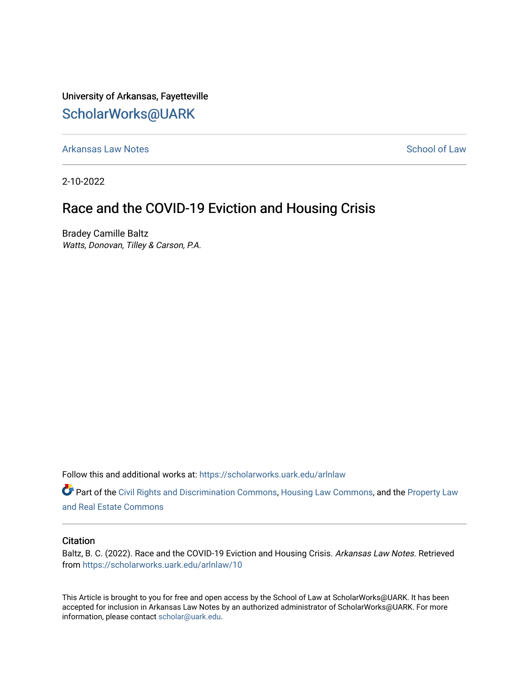University of Arkansas, Fayetteville [ScholarWorks@UARK](https://scholarworks.uark.edu/) 

[Arkansas Law Notes](https://scholarworks.uark.edu/arlnlaw) **School of Law** Arkansas Law Notes [School of Law](https://scholarworks.uark.edu/law) School of Law

2-10-2022

# Race and the COVID-19 Eviction and Housing Crisis

Bradey Camille Baltz Watts, Donovan, Tilley & Carson, P.A.

Follow this and additional works at: [https://scholarworks.uark.edu/arlnlaw](https://scholarworks.uark.edu/arlnlaw?utm_source=scholarworks.uark.edu%2Farlnlaw%2F10&utm_medium=PDF&utm_campaign=PDFCoverPages)

Part of the [Civil Rights and Discrimination Commons,](http://network.bepress.com/hgg/discipline/585?utm_source=scholarworks.uark.edu%2Farlnlaw%2F10&utm_medium=PDF&utm_campaign=PDFCoverPages) [Housing Law Commons,](http://network.bepress.com/hgg/discipline/846?utm_source=scholarworks.uark.edu%2Farlnlaw%2F10&utm_medium=PDF&utm_campaign=PDFCoverPages) and the [Property Law](http://network.bepress.com/hgg/discipline/897?utm_source=scholarworks.uark.edu%2Farlnlaw%2F10&utm_medium=PDF&utm_campaign=PDFCoverPages) [and Real Estate Commons](http://network.bepress.com/hgg/discipline/897?utm_source=scholarworks.uark.edu%2Farlnlaw%2F10&utm_medium=PDF&utm_campaign=PDFCoverPages) 

#### **Citation**

Baltz, B. C. (2022). Race and the COVID-19 Eviction and Housing Crisis. Arkansas Law Notes. Retrieved from [https://scholarworks.uark.edu/arlnlaw/10](https://scholarworks.uark.edu/arlnlaw/10?utm_source=scholarworks.uark.edu%2Farlnlaw%2F10&utm_medium=PDF&utm_campaign=PDFCoverPages) 

This Article is brought to you for free and open access by the School of Law at ScholarWorks@UARK. It has been accepted for inclusion in Arkansas Law Notes by an authorized administrator of ScholarWorks@UARK. For more information, please contact [scholar@uark.edu.](mailto:scholar@uark.edu)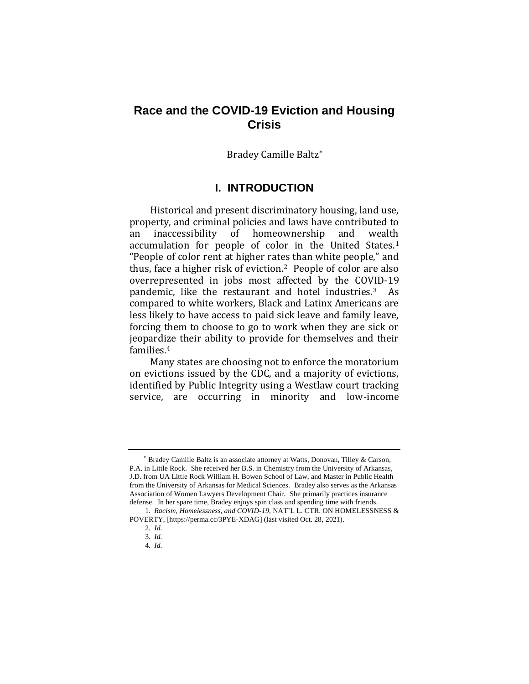## **Race and the COVID-19 Eviction and Housing Crisis**

Bradey Camille Baltz

## **I. INTRODUCTION**

Historical and present discriminatory housing, land use, property, and criminal policies and laws have contributed to an inaccessibility of homeownership and wealth accumulation for people of color in the United States.<sup>1</sup> "People of color rent at higher rates than white people," and thus, face a higher risk of eviction.2 People of color are also overrepresented in jobs most affected by the COVID-19 pandemic, like the restaurant and hotel industries.<sup>3</sup> As compared to white workers, Black and Latinx Americans are less likely to have access to paid sick leave and family leave, forcing them to choose to go to work when they are sick or jeopardize their ability to provide for themselves and their families.<sup>4</sup>

Many states are choosing not to enforce the moratorium on evictions issued by the CDC, and a majority of evictions, identified by Public Integrity using a Westlaw court tracking service, are occurring in minority and low-income

Bradey Camille Baltz is an associate attorney at Watts, Donovan, Tilley & Carson, P.A. in Little Rock. She received her B.S. in Chemistry from the University of Arkansas, J.D. from UA Little Rock William H. Bowen School of Law, and Master in Public Health from the University of Arkansas for Medical Sciences. Bradey also serves as the Arkansas Association of Women Lawyers Development Chair. She primarily practices insurance defense. In her spare time, Bradey enjoys spin class and spending time with friends.

<sup>1</sup>*. Racism, Homelessness, and COVID-19*, NAT'L L. CTR. ON HOMELESSNESS & POVERTY, [https://perma.cc/3PYE-XDAG] (last visited Oct. 28, 2021).

<sup>2</sup>*. Id.* 

<sup>3</sup>*. Id.* 

<sup>4</sup>*. Id.*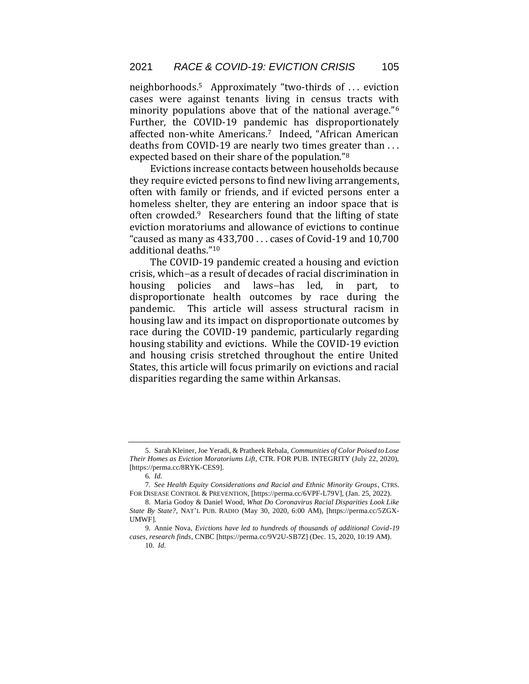neighborhoods.5 Approximately "two-thirds of . . . eviction cases were against tenants living in census tracts with minority populations above that of the national average."<sup>6</sup> Further, the COVID-19 pandemic has disproportionately affected non-white Americans.<sup>7</sup> Indeed, "African American deaths from COVID-19 are nearly two times greater than . . . expected based on their share of the population."<sup>8</sup>

Evictions increase contacts between households because they require evicted persons to find new living arrangements, often with family or friends, and if evicted persons enter a homeless shelter, they are entering an indoor space that is often crowded.9 Researchers found that the lifting of state eviction moratoriums and allowance of evictions to continue "caused as many as 433,700 . . . cases of Covid-19 and 10,700 additional deaths."<sup>10</sup>

The COVID-19 pandemic created a housing and eviction crisis, which−as a result of decades of racial discrimination in housing policies and laws−has led, in part, to disproportionate health outcomes by race during the pandemic. This article will assess structural racism in housing law and its impact on disproportionate outcomes by race during the COVID-19 pandemic, particularly regarding housing stability and evictions. While the COVID-19 eviction and housing crisis stretched throughout the entire United States, this article will focus primarily on evictions and racial disparities regarding the same within Arkansas.

<sup>5.</sup> Sarah Kleiner, Joe Yeradi, & Pratheek Rebala, *Communities of Color Poised to Lose Their Homes as Eviction Moratoriums Lift,* CTR. FOR PUB. INTEGRITY (July 22, 2020), [https://perma.cc/8RYK-CES9].

<sup>6</sup>*. Id.* 

<sup>7</sup>*. See Health Equity Considerations and Racial and Ethnic Minority Groups*, CTRS. FOR DISEASE CONTROL & PREVENTION, [https://perma.cc/6VPF-L79V], (Jan. 25, 2022).

<sup>8.</sup> Maria Godoy & Daniel Wood, *What Do Coronavirus Racial Disparities Look Like State By State?,* NAT'L PUB. RADIO (May 30, 2020, 6:00 AM), [https://perma.cc/5ZGX-UMWF].

<sup>9.</sup> Annie Nova, *Evictions have led to hundreds of thousands of additional Covid-19 cases, research finds*, CNBC [https://perma.cc/9V2U-SB7Z] (Dec. 15, 2020, 10:19 AM).

<sup>10</sup>*. Id.*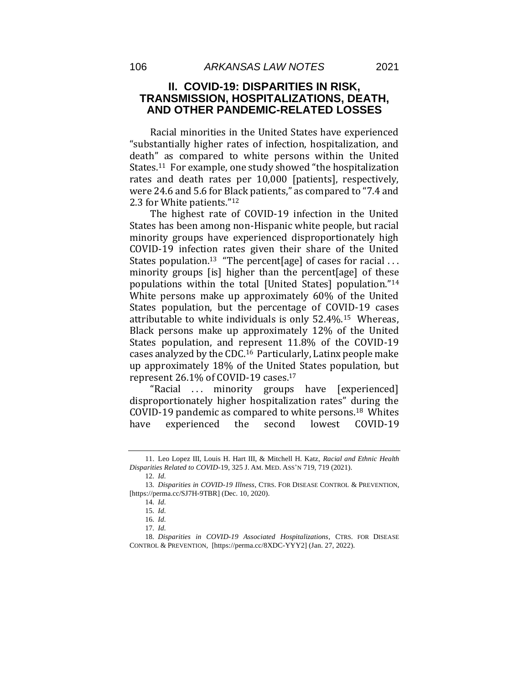#### **II. COVID-19: DISPARITIES IN RISK, TRANSMISSION, HOSPITALIZATIONS, DEATH, AND OTHER PANDEMIC-RELATED LOSSES**

Racial minorities in the United States have experienced "substantially higher rates of infection, hospitalization, and death" as compared to white persons within the United States.<sup>11</sup> For example, one study showed "the hospitalization rates and death rates per 10,000 [patients], respectively, were 24.6 and 5.6 for Black patients," as compared to "7.4 and 2.3 for White patients."<sup>12</sup>

The highest rate of COVID-19 infection in the United States has been among non-Hispanic white people, but racial minority groups have experienced disproportionately high COVID-19 infection rates given their share of the United States population.<sup>13</sup> "The percent[age] of cases for racial ... minority groups [is] higher than the percent[age] of these populations within the total [United States] population."<sup>14</sup> White persons make up approximately 60% of the United States population, but the percentage of COVID-19 cases attributable to white individuals is only 52.4%.15 Whereas, Black persons make up approximately 12% of the United States population, and represent 11.8% of the COVID-19 cases analyzed by the CDC.16 Particularly, Latinx people make up approximately 18% of the United States population, but represent 26.1% of COVID-19 cases.<sup>17</sup>

"Racial ... minority groups have [experienced] disproportionately higher hospitalization rates" during the COVID-19 pandemic as compared to white persons.18 Whites have experienced the second lowest COVID-19

<sup>11.</sup> Leo Lopez III, Louis H. Hart III, & Mitchell H. Katz, *Racial and Ethnic Health Disparities Related to COVID-*19, 325 J. AM. MED. ASS'N 719, 719 (2021).

<sup>12</sup>*. Id.* 

<sup>13</sup>*. Disparities in COVID-19 Illness*, CTRS. FOR DISEASE CONTROL & PREVENTION, [https://perma.cc/SJ7H-9TBR] (Dec. 10, 2020).

<sup>14</sup>*. Id.* 

<sup>15</sup>*. Id.* 

<sup>16</sup>*. Id.* 

<sup>17</sup>*. Id.* 

<sup>18</sup>*. Disparities in COVID-19 Associated Hospitalizations*, CTRS. FOR DISEASE CONTROL & PREVENTION, [https://perma.cc/8XDC-YYY2] (Jan. 27, 2022).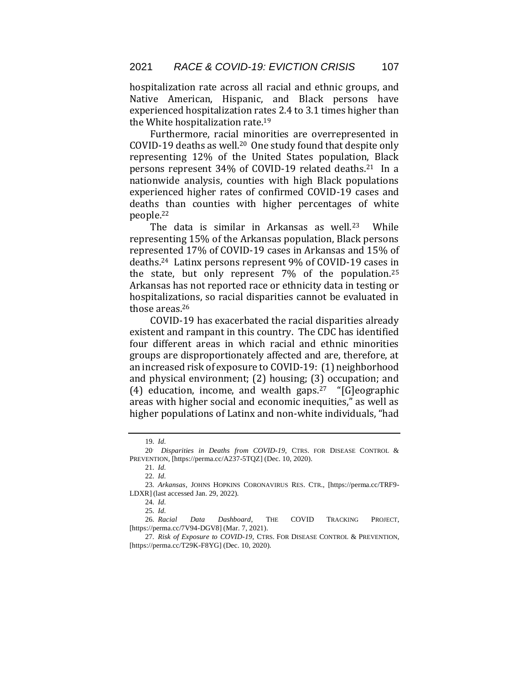hospitalization rate across all racial and ethnic groups, and Native American, Hispanic, and Black persons have experienced hospitalization rates 2.4 to 3.1 times higher than the White hospitalization rate.<sup>19</sup>

Furthermore, racial minorities are overrepresented in COVID-19 deaths as well.<sup>20</sup> One study found that despite only representing 12% of the United States population, Black persons represent 34% of COVID-19 related deaths.21 In a nationwide analysis, counties with high Black populations experienced higher rates of confirmed COVID-19 cases and deaths than counties with higher percentages of white people.<sup>22</sup>

The data is similar in Arkansas as well.<sup>23</sup> While representing 15% of the Arkansas population, Black persons represented 17% of COVID-19 cases in Arkansas and 15% of deaths.24 Latinx persons represent 9% of COVID-19 cases in the state, but only represent 7% of the population.<sup>25</sup> Arkansas has not reported race or ethnicity data in testing or hospitalizations, so racial disparities cannot be evaluated in those areas.<sup>26</sup>

COVID-19 has exacerbated the racial disparities already existent and rampant in this country. The CDC has identified four different areas in which racial and ethnic minorities groups are disproportionately affected and are, therefore, at an increased risk of exposure to COVID-19: (1) neighborhood and physical environment; (2) housing; (3) occupation; and (4) education, income, and wealth gaps.<sup>27</sup> "[G]eographic areas with higher social and economic inequities," as well as higher populations of Latinx and non-white individuals, "had

<sup>19</sup>*. Id.* 

<sup>20</sup>. *Disparities in Deaths from COVID-19,* CTRS. FOR DISEASE CONTROL & PREVENTION, [https://perma.cc/A237-5TQZ] (Dec. 10, 2020).

<sup>21</sup>*. Id.* 

<sup>22</sup>*. Id.* 

<sup>23</sup>*. Arkansas,* JOHNS HOPKINS CORONAVIRUS RES. CTR., [https://perma.cc/TRF9- LDXR] (last accessed Jan. 29, 2022).

<sup>24</sup>*. Id.* 

<sup>25</sup>*. Id.* 

<sup>26</sup>*. Racial Data Dashboard*, THE COVID TRACKING PROJECT, [https://perma.cc/7V94-DGV8] (Mar. 7, 2021).

<sup>27</sup>*. Risk of Exposure to COVID-19*, CTRS. FOR DISEASE CONTROL & PREVENTION, [https://perma.cc/T29K-F8YG] (Dec. 10, 2020).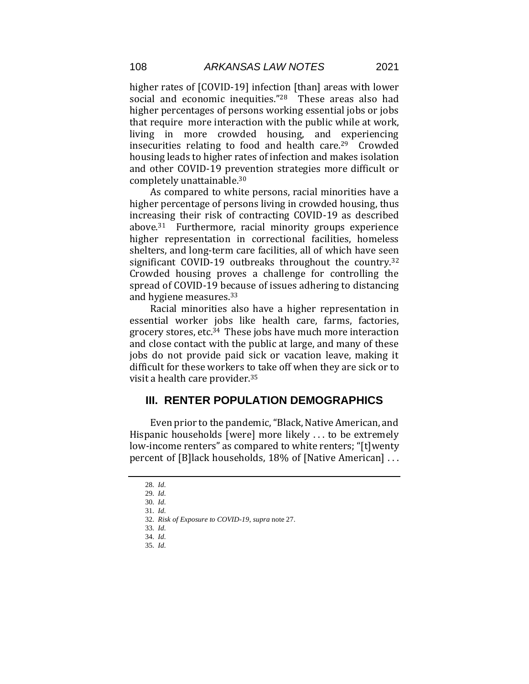higher rates of [COVID-19] infection [than] areas with lower social and economic inequities."28 These areas also had higher percentages of persons working essential jobs or jobs that require more interaction with the public while at work, living in more crowded housing, and experiencing insecurities relating to food and health care. $29$  Crowded housing leads to higher rates of infection and makes isolation and other COVID-19 prevention strategies more difficult or completely unattainable.<sup>30</sup>

As compared to white persons, racial minorities have a higher percentage of persons living in crowded housing, thus increasing their risk of contracting COVID-19 as described above.31 Furthermore, racial minority groups experience higher representation in correctional facilities, homeless shelters, and long-term care facilities, all of which have seen significant COVID-19 outbreaks throughout the country.<sup>32</sup> Crowded housing proves a challenge for controlling the spread of COVID-19 because of issues adhering to distancing and hygiene measures.<sup>33</sup>

Racial minorities also have a higher representation in essential worker jobs like health care, farms, factories, grocery stores, etc.34 These jobs have much more interaction and close contact with the public at large, and many of these jobs do not provide paid sick or vacation leave, making it difficult for these workers to take off when they are sick or to visit a health care provider.<sup>35</sup>

## **III. RENTER POPULATION DEMOGRAPHICS**

Even prior to the pandemic, "Black, Native American, and Hispanic households [were] more likely . . . to be extremely low-income renters" as compared to white renters; "[t] wenty percent of [B]lack households, 18% of [Native American] . . .

<sup>28</sup>*. Id.* 

<sup>29</sup>*. Id.* 

<sup>30</sup>*. Id.* 

<sup>31</sup>*. Id.* 

<sup>32</sup>*. Risk of Exposure to COVID-19*, *supra* note 27.

<sup>33</sup>*. Id.* 

<sup>34</sup>*. Id.* 

<sup>35</sup>*. Id.*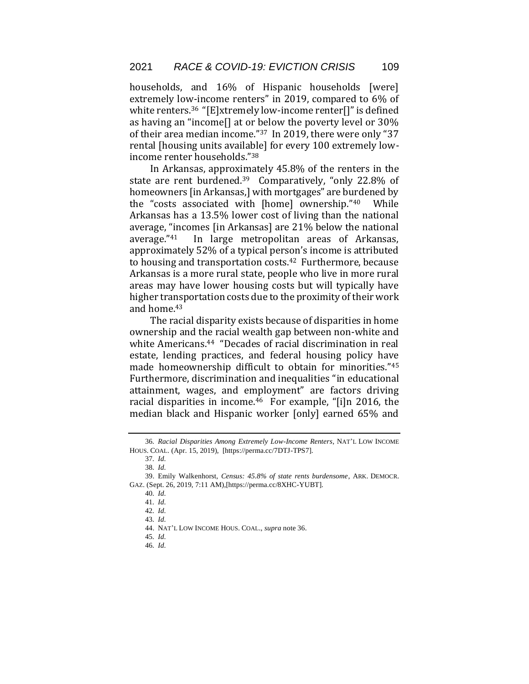households, and 16% of Hispanic households [were] extremely low-income renters" in 2019, compared to 6% of white renters.<sup>36</sup> "[E]xtremely low-income renter[]" is defined as having an "income[] at or below the poverty level or 30% of their area median income."<sup>37</sup> In 2019, there were only "37 rental [housing units available] for every 100 extremely lowincome renter households."<sup>38</sup>

In Arkansas, approximately 45.8% of the renters in the state are rent burdened.<sup>39</sup> Comparatively, "only 22.8% of homeowners [in Arkansas,] with mortgages" are burdened by the "costs associated with [home] ownership."40 While Arkansas has a 13.5% lower cost of living than the national average, "incomes [in Arkansas] are 21% below the national average."41 In large metropolitan areas of Arkansas, approximately 52% of a typical person's income is attributed to housing and transportation costs.42 Furthermore, because Arkansas is a more rural state, people who live in more rural areas may have lower housing costs but will typically have higher transportation costs due to the proximity of their work and home.<sup>43</sup>

The racial disparity exists because of disparities in home ownership and the racial wealth gap between non-white and white Americans.<sup>44</sup> "Decades of racial discrimination in real estate, lending practices, and federal housing policy have made homeownership difficult to obtain for minorities."<sup>45</sup> Furthermore, discrimination and inequalities "in educational attainment, wages, and employment" are factors driving racial disparities in income.<sup>46</sup> For example, "[i]n 2016, the median black and Hispanic worker [only] earned 65% and

<sup>36</sup>*. Racial Disparities Among Extremely Low-Income Renters*, NAT'L LOW INCOME HOUS. COAL. (Apr. 15, 2019), [https://perma.cc/7DTJ-TPS7].

<sup>37</sup>*. Id.* 

<sup>38</sup>*. Id.* 

<sup>39.</sup> Emily Walkenhorst, *Census: 45.8% of state rents burdensome*, ARK. DEMOCR. GAZ. (Sept. 26, 2019, 7:11 AM),[https://perma.cc/8XHC-YUBT].

<sup>40</sup>*. Id.* 

<sup>41</sup>*. Id.* 

<sup>42</sup>*. Id.* 

<sup>43</sup>*. Id.* 

<sup>44.</sup> NAT'L LOW INCOME HOUS. COAL., *supra* note 36.

<sup>45</sup>*. Id.* 

<sup>46</sup>*. Id.*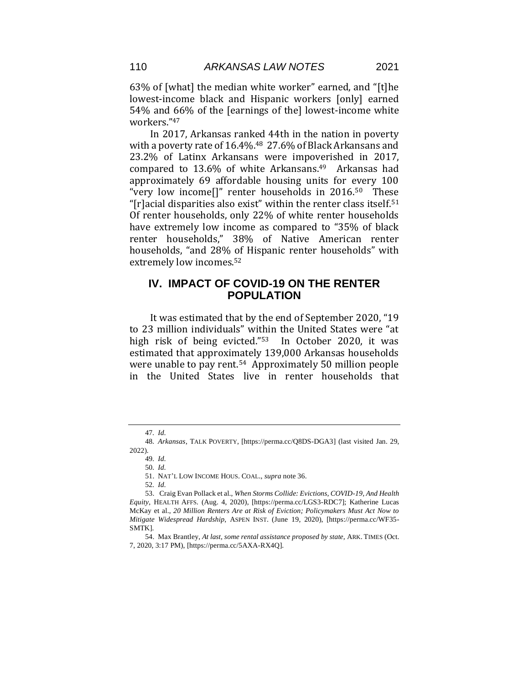63% of [what] the median white worker" earned, and "[t]he lowest-income black and Hispanic workers [only] earned 54% and 66% of the [earnings of the] lowest-income white workers."<sup>47</sup>

In 2017, Arkansas ranked 44th in the nation in poverty with a poverty rate of 16.4%.<sup>48</sup> 27.6% of Black Arkansans and 23.2% of Latinx Arkansans were impoverished in 2017, compared to  $13.6\%$  of white Arkansans.<sup>49</sup> Arkansas had approximately 69 affordable housing units for every 100 "very low income $\left[\right]$ " renter households in 2016.<sup>50</sup> These "[r]acial disparities also exist" within the renter class itself.<sup>51</sup> Of renter households, only 22% of white renter households have extremely low income as compared to "35% of black renter households," 38% of Native American renter households, "and 28% of Hispanic renter households" with extremely low incomes.<sup>52</sup>

## **IV. IMPACT OF COVID-19 ON THE RENTER POPULATION**

It was estimated that by the end of September 2020, "19 to 23 million individuals" within the United States were "at high risk of being evicted."53 In October 2020, it was estimated that approximately 139,000 Arkansas households were unable to pay rent.54 Approximately 50 million people in the United States live in renter households that

<sup>47</sup>*. Id.*

<sup>48</sup>*. Arkansas*, TALK POVERTY, [https://perma.cc/Q8DS-DGA3] (last visited Jan. 29, 2022).

<sup>49</sup>*. Id.* 

<sup>50</sup>*. Id.* 

<sup>51.</sup> NAT'L LOW INCOME HOUS. COAL., *supra* note 36.

<sup>52</sup>*. Id.* 

<sup>53.</sup> Craig Evan Pollack et al., *When Storms Collide: Evictions, COVID-19, And Health Equity*, HEALTH AFFS. (Aug. 4, 2020), [https://perma.cc/LGS3-RDC7]; Katherine Lucas McKay et al., *20 Million Renters Are at Risk of Eviction; Policymakers Must Act Now to Mitigate Widespread Hardship*, ASPEN INST. (June 19, 2020), [https://perma.cc/WF35- SMTK].

<sup>54.</sup> Max Brantley, *At last, some rental assistance proposed by state,* ARK. TIMES (Oct. 7, 2020, 3:17 PM), [https://perma.cc/5AXA-RX4Q].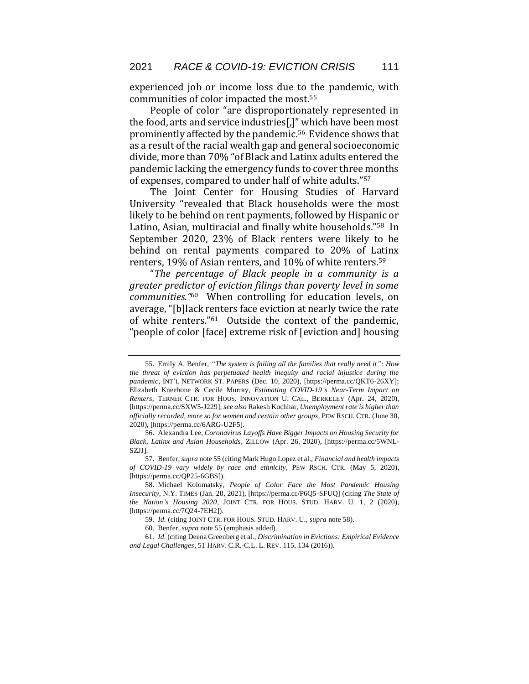experienced job or income loss due to the pandemic, with communities of color impacted the most.<sup>55</sup>

People of color "are disproportionately represented in the food, arts and service industries[,]" which have been most prominently affected by the pandemic.56 Evidence shows that as a result of the racial wealth gap and general socioeconomic divide, more than 70% "of Black and Latinx adults entered the pandemic lacking the emergency funds to cover three months of expenses, compared to under half of white adults."<sup>57</sup>

The Joint Center for Housing Studies of Harvard University "revealed that Black households were the most likely to be behind on rent payments, followed by Hispanic or Latino, Asian, multiracial and finally white households."58 In September 2020, 23% of Black renters were likely to be behind on rental payments compared to 20% of Latinx renters, 19% of Asian renters, and 10% of white renters.<sup>59</sup>

"*The percentage of Black people in a community is a greater predictor of eviction filings than poverty level in some communities."*<sup>60</sup>When controlling for education levels, on average, "[b]lack renters face eviction at nearly twice the rate of white renters."61 Outside the context of the pandemic, "people of color [face] extreme risk of [eviction and] housing

<sup>55.</sup> Emily A. Benfer, *"The system is failing all the families that really need it": How the threat of eviction has perpetuated health inequity and racial injustice during the pandemic*, INT'L NETWORK ST. PAPERS (Dec. 10, 2020), [https://perma.cc/QKT6-26XY]; Elizabeth Kneebone & Cecile Murray, *Estimating COVID-19's Near-Term Impact on Renters*, TERNER CTR. FOR HOUS. INNOVATION U. CAL., BERKELEY (Apr. 24, 2020), [https://perma.cc/SXW5-J229]; *see also* Rakesh Kochhar, *Unemployment rate is higher than officially recorded, more so for women and certain other groups*, PEW RSCH. CTR. (June 30, 2020), [https://perma.cc/6ARG-U2F5].

<sup>56.</sup> Alexandra Lee, *Coronavirus Layoffs Have Bigger Impacts on Housing Security for Black, Latinx and Asian Households*, ZILLOW (Apr. 26, 2020), [https://perma.cc/5WNL-SZJJ].

<sup>57.</sup> Benfer, *supra* note 55 (citing Mark Hugo Lopez et al., *Financial and health impacts of COVID-19 vary widely by race and ethnicity*, PEW RSCH. CTR. (May 5, 2020), [https://perma.cc/QP25-6GBS]).

<sup>58.</sup> Michael Kolomatsky, *People of Color Face the Most Pandemic Housing Insecurity*, N.Y. TIMES (Jan. 28, 2021), [https://perma.cc/P6Q5-SFUQ] (citing *The State of the Nation's Housing 2020*, JOINT CTR. FOR HOUS. STUD. HARV. U. 1, 2 (2020), [https://perma.cc/7Q24-7EH2]).

<sup>59</sup>*. Id.* (citing JOINT CTR. FOR HOUS. STUD. HARV. U., *supra* note 58).

<sup>60.</sup> Benfer, *supra* note 55 (emphasis added).

<sup>61</sup>*. Id.* (citing Deena Greenberg et al., *Discrimination in Evictions: Empirical Evidence and Legal Challenges*, 51 HARV. C.R.-C.L. L. REV. 115, 134 (2016)).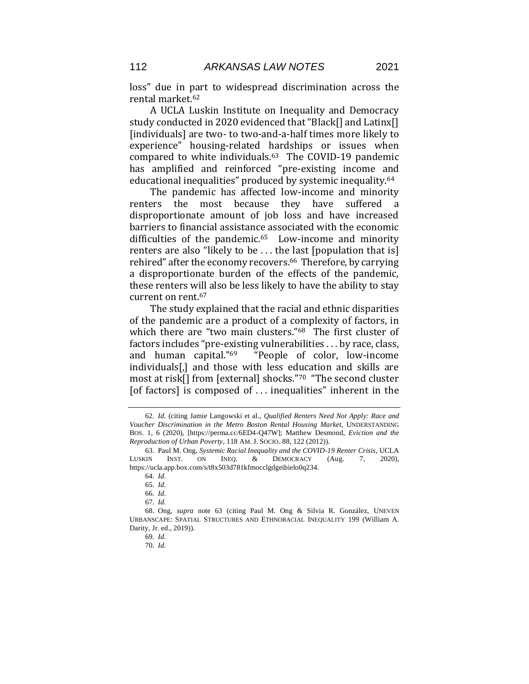loss" due in part to widespread discrimination across the rental market.<sup>62</sup>

A UCLA Luskin Institute on Inequality and Democracy study conducted in 2020 evidenced that "Black[] and Latinx[] [individuals] are two- to two-and-a-half times more likely to experience" housing-related hardships or issues when compared to white individuals.63 The COVID-19 pandemic has amplified and reinforced "pre-existing income and educational inequalities" produced by systemic inequality.<sup>64</sup>

The pandemic has affected low-income and minority renters the most because they have suffered a disproportionate amount of job loss and have increased barriers to financial assistance associated with the economic difficulties of the pandemic.<sup>65</sup> Low-income and minority renters are also "likely to be . . . the last [population that is] rehired" after the economy recovers.<sup>66</sup> Therefore, by carrying a disproportionate burden of the effects of the pandemic, these renters will also be less likely to have the ability to stay current on rent.<sup>67</sup>

The study explained that the racial and ethnic disparities of the pandemic are a product of a complexity of factors, in which there are "two main clusters."68 The first cluster of factors includes "pre-existing vulnerabilities . . . by race, class, and human capital."<sup>69</sup> "People of color, low-income individuals[,] and those with less education and skills are most at risk[] from [external] shocks."<sup>70</sup> "The second cluster [of factors] is composed of . . . inequalities" inherent in the

<sup>62</sup>*. Id.* (citing Jamie Langowski et al., *Qualified Renters Need Not Apply: Race and Voucher Discrimination in the Metro Boston Rental Housing Market*, UNDERSTANDING BOS. 1, 6 (2020), [https://perma.cc/6ED4-Q47W]; Matthew Desmond, *Eviction and the Reproduction of Urban Poverty*, 118 AM. J. SOCIO. 88, 122 (2012)).

<sup>63.</sup> Paul M. Ong, *Systemic Racial Inequality and the COVID-19 Renter Crisis*, UCLA LUSKIN INST. ON INEQ. & DEMOCRACY (Aug. 7, 2020), https://ucla.app.box.com/s/t8x503d781kfmocclgdgeibielo0q234.

<sup>64</sup>*. Id.*

<sup>65</sup>*. Id.*

<sup>66</sup>*. Id.*

<sup>67</sup>*. Id.*

<sup>68.</sup> Ong, *supra* note 63 (citing Paul M. Ong & Silvia R. González, UNEVEN URBANSCAPE: SPATIAL STRUCTURES AND ETHNORACIAL INEQUALITY 199 (William A. Darity, Jr. ed., 2019)).

<sup>69</sup>*. Id.*

<sup>70</sup>*. Id.*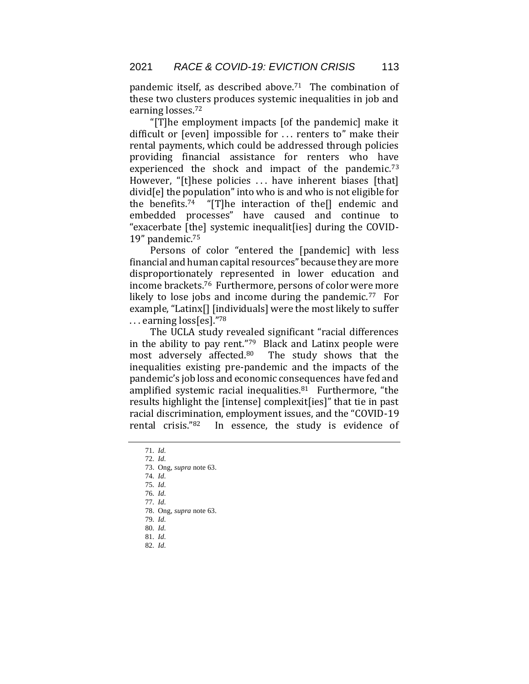pandemic itself, as described above.<sup>71</sup> The combination of these two clusters produces systemic inequalities in job and earning losses.<sup>72</sup>

"[T]he employment impacts [of the pandemic] make it difficult or [even] impossible for . . . renters to" make their rental payments, which could be addressed through policies providing financial assistance for renters who have experienced the shock and impact of the pandemic.<sup>73</sup> However, "[t]hese policies ... have inherent biases [that] divid[e] the population" into who is and who is not eligible for the benefits.<sup>74</sup> "[T]he interaction of the<sup>[]</sup> endemic and embedded processes" have caused and continue to "exacerbate [the] systemic inequalit[ies] during the COVID-19" pandemic.<sup>75</sup>

Persons of color "entered the [pandemic] with less financial and human capital resources" because they are more disproportionately represented in lower education and income brackets.76 Furthermore, persons of color were more likely to lose jobs and income during the pandemic.<sup>77</sup> For example, "Latinx[] [individuals] were the most likely to suffer . . . earning loss[es]."<sup>78</sup>

The UCLA study revealed significant "racial differences in the ability to pay rent."79 Black and Latinx people were most adversely affected.<sup>80</sup> The study shows that the inequalities existing pre-pandemic and the impacts of the pandemic's job loss and economic consequences have fed and amplified systemic racial inequalities.<sup>81</sup> Furthermore, "the results highlight the [intense] complexit[ies]" that tie in past racial discrimination, employment issues, and the "COVID-19 rental crisis."82 In essence, the study is evidence of

- 76*. Id.*
- 77*. Id.*
- 78. Ong, *supra* note 63.
- 79*. Id.*
- 80*. Id.*
- 81*. Id.*
- 82*. Id.*

<sup>71</sup>*. Id.* 

<sup>72</sup>*. Id.* 

<sup>73.</sup> Ong, *supra* note 63.

<sup>74</sup>*. Id.*  75*. Id.*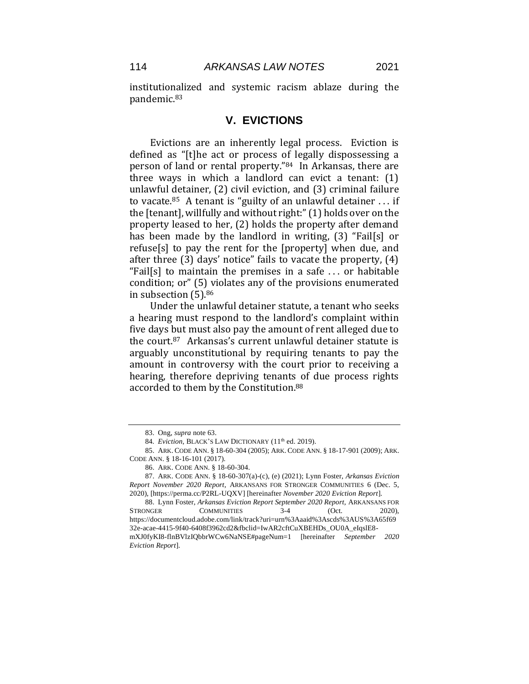institutionalized and systemic racism ablaze during the pandemic.<sup>83</sup>

## **V. EVICTIONS**

Evictions are an inherently legal process. Eviction is defined as "[t]he act or process of legally dispossessing a person of land or rental property."84 In Arkansas, there are three ways in which a landlord can evict a tenant: (1) unlawful detainer, (2) civil eviction, and (3) criminal failure to vacate.<sup>85</sup> A tenant is "guilty of an unlawful detainer  $\dots$  if the [tenant], willfully and without right:" (1) holds over on the property leased to her, (2) holds the property after demand has been made by the landlord in writing, (3) "Fail[s] or refuse[s] to pay the rent for the [property] when due, and after three (3) days' notice" fails to vacate the property, (4) "Fail[s] to maintain the premises in a safe . . . or habitable condition; or" (5) violates any of the provisions enumerated in subsection (5).<sup>86</sup>

Under the unlawful detainer statute, a tenant who seeks a hearing must respond to the landlord's complaint within five days but must also pay the amount of rent alleged due to the court.<sup>87</sup> Arkansas's current unlawful detainer statute is arguably unconstitutional by requiring tenants to pay the amount in controversy with the court prior to receiving a hearing, therefore depriving tenants of due process rights accorded to them by the Constitution.<sup>88</sup>

<sup>83.</sup> Ong, *supra* note 63.

<sup>84.</sup> *Eviction*, BLACK'S LAW DICTIONARY (11<sup>th</sup> ed. 2019).

<sup>85.</sup> ARK. CODE ANN. § 18-60-304 (2005); ARK. CODE ANN. § 18-17-901 (2009); ARK. CODE ANN. § 18-16-101 (2017).

<sup>86.</sup> ARK. CODE ANN. § 18-60-304.

<sup>87.</sup> ARK. CODE ANN. § 18-60-307(a)-(c), (e) (2021); Lynn Foster, *Arkansas Eviction Report November 2020 Report,* ARKANSANS FOR STRONGER COMMUNITIES 6 (Dec. 5, 2020), [https://perma.cc/P2RL-UQXV] [hereinafter *November 2020 Eviction Report*].

<sup>88.</sup> Lynn Foster, *Arkansas Eviction Report September 2020 Report,* ARKANSANS FOR STRONGER COMMUNITIES 3-4 (Oct. 2020). https://documentcloud.adobe.com/link/track?uri=urn%3Aaaid%3Ascds%3AUS%3A65f69 32e-acae-4415-9f40-6408f3962cd2&fbclid=IwAR2cftCuXBEHDs\_OU0A\_eIqslE8 mXJ0fyKI8-flnBVlzIQbbrWCw6NaNSE#pageNum=1 [hereinafter *September 2020 Eviction Report*].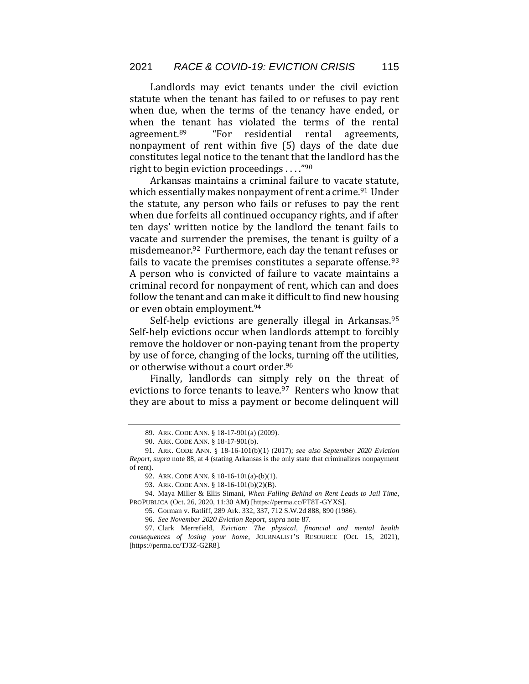Landlords may evict tenants under the civil eviction statute when the tenant has failed to or refuses to pay rent when due, when the terms of the tenancy have ended, or when the tenant has violated the terms of the rental agreement.<sup>89</sup> "For residential rental agreements, nonpayment of rent within five (5) days of the date due constitutes legal notice to the tenant that the landlord has the right to begin eviction proceedings . . . ."<sup>90</sup>

Arkansas maintains a criminal failure to vacate statute, which essentially makes nonpayment of rent a crime.<sup>91</sup> Under the statute, any person who fails or refuses to pay the rent when due forfeits all continued occupancy rights, and if after ten days' written notice by the landlord the tenant fails to vacate and surrender the premises, the tenant is guilty of a misdemeanor.92 Furthermore, each day the tenant refuses or fails to vacate the premises constitutes a separate offense.<sup>93</sup> A person who is convicted of failure to vacate maintains a criminal record for nonpayment of rent, which can and does follow the tenant and can make it difficult to find new housing or even obtain employment.<sup>94</sup>

Self-help evictions are generally illegal in Arkansas.<sup>95</sup> Self-help evictions occur when landlords attempt to forcibly remove the holdover or non-paying tenant from the property by use of force, changing of the locks, turning off the utilities, or otherwise without a court order.<sup>96</sup>

Finally, landlords can simply rely on the threat of evictions to force tenants to leave.<sup>97</sup> Renters who know that they are about to miss a payment or become delinquent will

<sup>89.</sup> ARK. CODE ANN. § 18-17-901(a) (2009).

<sup>90.</sup> ARK. CODE ANN. § 18-17-901(b).

<sup>91.</sup> ARK. CODE ANN. § 18-16-101(b)(1) (2017); *see also September 2020 Eviction Report*, *supra* note 88, at 4 (stating Arkansas is the only state that criminalizes nonpayment of rent).

<sup>92.</sup> ARK. CODE ANN. § 18-16-101(a)-(b)(1).

<sup>93.</sup> ARK. CODE ANN. § 18-16-101(b)(2)(B).

<sup>94.</sup> Maya Miller & Ellis Simani, *When Falling Behind on Rent Leads to Jail Time*, PROPUBLICA (Oct. 26, 2020, 11:30 AM) [https://perma.cc/FT8T-GYXS].

<sup>95.</sup> Gorman v. Ratliff, 289 Ark. 332, 337, 712 S.W.2d 888, 890 (1986).

<sup>96</sup>*. See November 2020 Eviction Report*, *supra* note 87.

<sup>97.</sup> Clark Merrefield, *Eviction: The physical, financial and mental health consequences of losing your home*, JOURNALIST'S RESOURCE (Oct. 15, 2021), [https://perma.cc/TJ3Z-G2R8].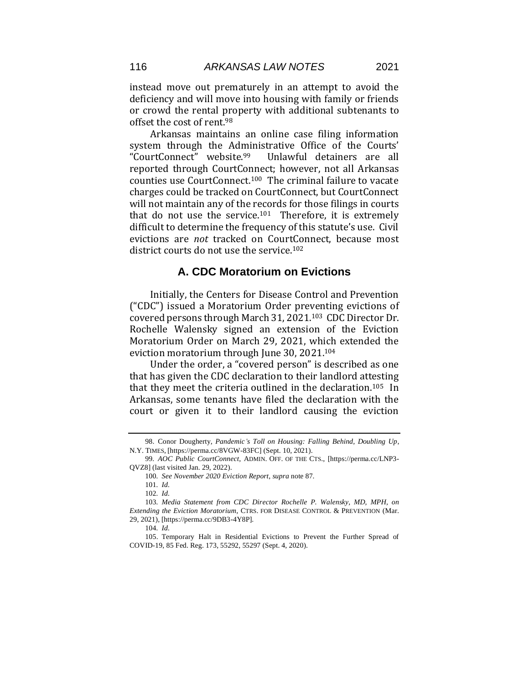instead move out prematurely in an attempt to avoid the deficiency and will move into housing with family or friends or crowd the rental property with additional subtenants to offset the cost of rent.<sup>98</sup>

Arkansas maintains an online case filing information system through the Administrative Office of the Courts' "CourtConnect" website.99 Unlawful detainers are all reported through CourtConnect; however, not all Arkansas counties use CourtConnect.100 The criminal failure to vacate charges could be tracked on CourtConnect, but CourtConnect will not maintain any of the records for those filings in courts that do not use the service.<sup>101</sup> Therefore, it is extremely difficult to determine the frequency of this statute's use. Civil evictions are *not* tracked on CourtConnect, because most district courts do not use the service.<sup>102</sup>

## **A. CDC Moratorium on Evictions**

Initially, the Centers for Disease Control and Prevention ("CDC") issued a Moratorium Order preventing evictions of covered persons through March 31, 2021.103 CDC Director Dr. Rochelle Walensky signed an extension of the Eviction Moratorium Order on March 29, 2021, which extended the eviction moratorium through June 30, 2021.<sup>104</sup>

Under the order, a "covered person" is described as one that has given the CDC declaration to their landlord attesting that they meet the criteria outlined in the declaration.105 In Arkansas, some tenants have filed the declaration with the court or given it to their landlord causing the eviction

<sup>98.</sup> Conor Dougherty, *Pandemic's Toll on Housing: Falling Behind, Doubling Up*, N.Y. TIMES, [https://perma.cc/8VGW-83FC] (Sept. 10, 2021).

<sup>99</sup>*. AOC Public CourtConnect*, ADMIN. OFF. OF THE CTS., [https://perma.cc/LNP3- QVZ8] (last visited Jan. 29, 2022).

<sup>100</sup>*. See November 2020 Eviction Report*, *supra* note 87.

<sup>101</sup>*. Id.* 

<sup>102</sup>*. Id.* 

<sup>103</sup>*. Media Statement from CDC Director Rochelle P. Walensky, MD, MPH, on Extending the Eviction Moratorium*, CTRS. FOR DISEASE CONTROL & PREVENTION (Mar. 29, 2021), [https://perma.cc/9DB3-4Y8P].

<sup>104</sup>*. Id.*

<sup>105.</sup> Temporary Halt in Residential Evictions to Prevent the Further Spread of COVID-19, 85 Fed. Reg. 173, 55292, 55297 (Sept. 4, 2020).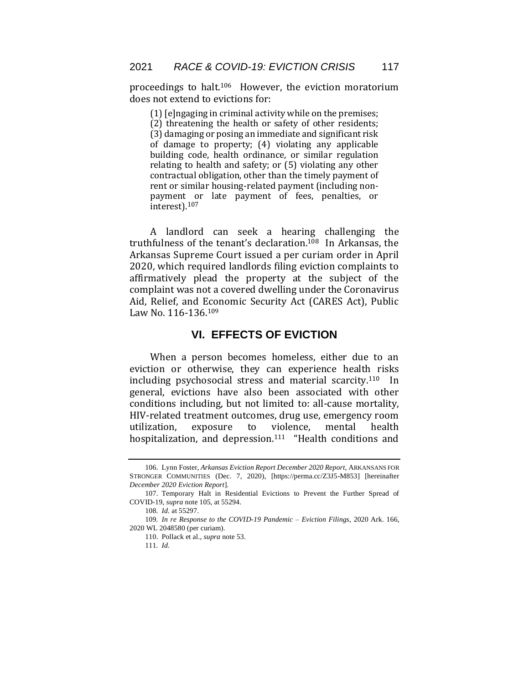proceedings to halt.106 However, the eviction moratorium does not extend to evictions for:

(1) [e]ngaging in criminal activity while on the premises;

(2) threatening the health or safety of other residents; (3) damaging or posing an immediate and significant risk of damage to property; (4) violating any applicable building code, health ordinance, or similar regulation relating to health and safety; or (5) violating any other contractual obligation, other than the timely payment of rent or similar housing-related payment (including nonpayment or late payment of fees, penalties, or interest).<sup>107</sup>

A landlord can seek a hearing challenging the truthfulness of the tenant's declaration.108 In Arkansas, the Arkansas Supreme Court issued a per curiam order in April 2020, which required landlords filing eviction complaints to affirmatively plead the property at the subject of the complaint was not a covered dwelling under the Coronavirus Aid, Relief, and Economic Security Act (CARES Act), Public Law No. 116-136.<sup>109</sup>

## **VI. EFFECTS OF EVICTION**

When a person becomes homeless, either due to an eviction or otherwise, they can experience health risks including psychosocial stress and material scarcity. <sup>110</sup> In general, evictions have also been associated with other conditions including, but not limited to: all-cause mortality, HIV-related treatment outcomes, drug use, emergency room utilization, exposure to violence, mental health hospitalization, and depression.<sup>111</sup> "Health conditions and

<sup>106.</sup> Lynn Foster, *Arkansas Eviction Report December 2020 Report,* ARKANSANS FOR STRONGER COMMUNITIES (Dec. 7, 2020), [https://perma.cc/Z3J5-M853] [hereinafter *December 2020 Eviction Report*].

<sup>107.</sup> Temporary Halt in Residential Evictions to Prevent the Further Spread of COVID-19, *supra* note 105, at 55294.

<sup>108</sup>*. Id.* at 55297.

<sup>109</sup>*. In re Response to the COVID-19 Pandemic – Eviction Filings,* 2020 Ark. 166, 2020 WL 2048580 (per curiam).

<sup>110.</sup> Pollack et al., *supra* note 53.

<sup>111</sup>*. Id.*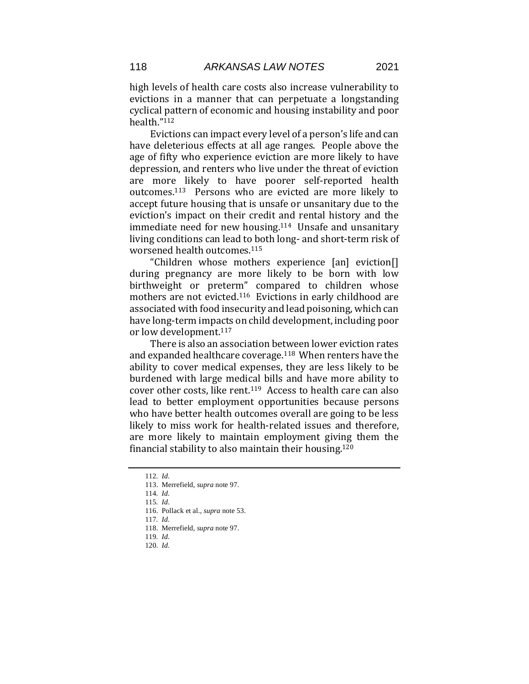high levels of health care costs also increase vulnerability to evictions in a manner that can perpetuate a longstanding cyclical pattern of economic and housing instability and poor health."<sup>112</sup>

Evictions can impact every level of a person's life and can have deleterious effects at all age ranges. People above the age of fifty who experience eviction are more likely to have depression, and renters who live under the threat of eviction are more likely to have poorer self-reported health outcomes.113 Persons who are evicted are more likely to accept future housing that is unsafe or unsanitary due to the eviction's impact on their credit and rental history and the immediate need for new housing.114 Unsafe and unsanitary living conditions can lead to both long- and short-term risk of worsened health outcomes.<sup>115</sup>

"Children whose mothers experience [an] eviction[] during pregnancy are more likely to be born with low birthweight or preterm" compared to children whose mothers are not evicted.116 Evictions in early childhood are associated with food insecurity and lead poisoning, which can have long-term impacts on child development, including poor or low development.<sup>117</sup>

There is also an association between lower eviction rates and expanded healthcare coverage.118 When renters have the ability to cover medical expenses, they are less likely to be burdened with large medical bills and have more ability to cover other costs, like rent.<sup>119</sup> Access to health care can also lead to better employment opportunities because persons who have better health outcomes overall are going to be less likely to miss work for health-related issues and therefore, are more likely to maintain employment giving them the financial stability to also maintain their housing.<sup>120</sup>

<sup>112</sup>*. Id.* 

<sup>113.</sup> Merrefield, *supra* note 97.

<sup>114</sup>*. Id.* 

<sup>115</sup>*. Id.* 

<sup>116.</sup> Pollack et al., *supra* note 53.

<sup>117</sup>*. Id.* 

<sup>118.</sup> Merrefield, *supra* note 97.

<sup>119</sup>*. Id.*  120*. Id.*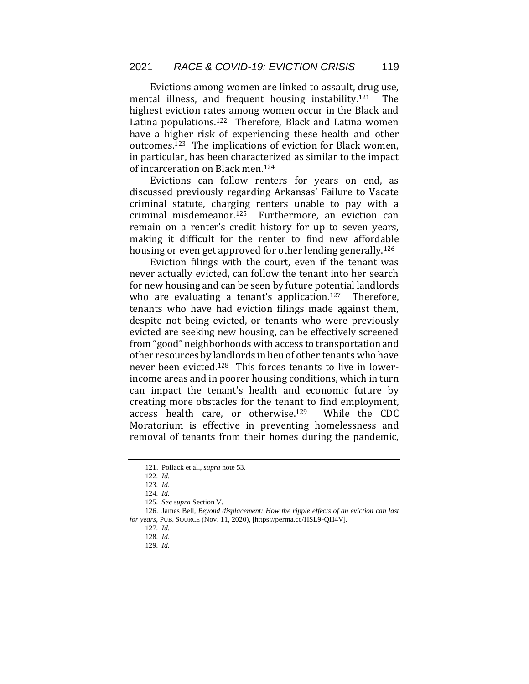Evictions among women are linked to assault, drug use, mental illness, and frequent housing instability.<sup>121</sup> The highest eviction rates among women occur in the Black and Latina populations.<sup>122</sup> Therefore, Black and Latina women have a higher risk of experiencing these health and other outcomes.123 The implications of eviction for Black women, in particular, has been characterized as similar to the impact of incarceration on Black men.<sup>124</sup>

Evictions can follow renters for years on end, as discussed previously regarding Arkansas' Failure to Vacate criminal statute, charging renters unable to pay with a criminal misdemeanor.125 Furthermore, an eviction can remain on a renter's credit history for up to seven years, making it difficult for the renter to find new affordable housing or even get approved for other lending generally.<sup>126</sup>

Eviction filings with the court, even if the tenant was never actually evicted, can follow the tenant into her search for new housing and can be seen by future potential landlords who are evaluating a tenant's application.<sup>127</sup> Therefore, tenants who have had eviction filings made against them, despite not being evicted, or tenants who were previously evicted are seeking new housing, can be effectively screened from "good" neighborhoods with access to transportation and other resources by landlords in lieu of other tenants who have never been evicted.128 This forces tenants to live in lowerincome areas and in poorer housing conditions, which in turn can impact the tenant's health and economic future by creating more obstacles for the tenant to find employment, access health care, or otherwise.129 While the CDC Moratorium is effective in preventing homelessness and removal of tenants from their homes during the pandemic,

<sup>121.</sup> Pollack et al., *supra* note 53.

<sup>122</sup>*. Id.* 

<sup>123</sup>*. Id.* 

<sup>124</sup>*. Id.* 

<sup>125</sup>*. See supra* Section V.

<sup>126.</sup> James Bell, *Beyond displacement: How the ripple effects of an eviction can last for years*, PUB. SOURCE (Nov. 11, 2020), [https://perma.cc/HSL9-QH4V].

<sup>127</sup>*. Id.* 

<sup>128</sup>*. Id.* 

<sup>129</sup>*. Id.*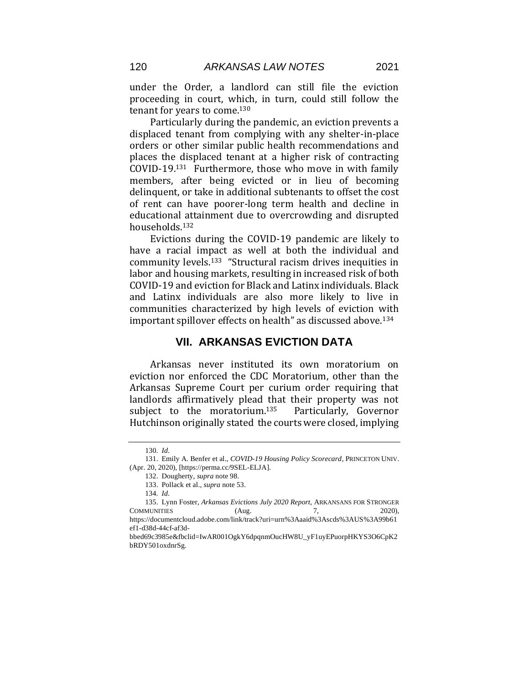under the Order, a landlord can still file the eviction proceeding in court, which, in turn, could still follow the tenant for years to come.<sup>130</sup>

Particularly during the pandemic, an eviction prevents a displaced tenant from complying with any shelter-in-place orders or other similar public health recommendations and places the displaced tenant at a higher risk of contracting COVID-19.131 Furthermore, those who move in with family members, after being evicted or in lieu of becoming delinquent, or take in additional subtenants to offset the cost of rent can have poorer-long term health and decline in educational attainment due to overcrowding and disrupted households.<sup>132</sup>

Evictions during the COVID-19 pandemic are likely to have a racial impact as well at both the individual and community levels.<sup>133</sup> "Structural racism drives inequities in labor and housing markets, resulting in increased risk of both COVID-19 and eviction for Black and Latinx individuals. Black and Latinx individuals are also more likely to live in communities characterized by high levels of eviction with important spillover effects on health" as discussed above.<sup>134</sup>

## **VII. ARKANSAS EVICTION DATA**

Arkansas never instituted its own moratorium on eviction nor enforced the CDC Moratorium, other than the Arkansas Supreme Court per curium order requiring that landlords affirmatively plead that their property was not subject to the moratorium.<sup>135</sup> Particularly, Governor Hutchinson originally stated the courts were closed, implying

<sup>130</sup>*. Id.* 

<sup>131.</sup> Emily A. Benfer et al., *COVID-19 Housing Policy Scorecard*, PRINCETON UNIV. (Apr. 20, 2020), [https://perma.cc/9SEL-ELJA].

<sup>132.</sup> Dougherty, *supra* note 98.

<sup>133.</sup> Pollack et al., *supra* note 53.

<sup>134</sup>*. Id.* 

<sup>135.</sup> Lynn Foster, *Arkansas Evictions July 2020 Report,* ARKANSANS FOR STRONGER COMMUNITIES (Aug. 7, 2020), https://documentcloud.adobe.com/link/track?uri=urn%3Aaaid%3Ascds%3AUS%3A99b61

ef1-d38d-44cf-af3d-

bbed69c3985e&fbclid=IwAR001OgkY6dpqnmOucHW8U\_yF1uyEPuorpHKYS3O6CpK2 bRDY501oxdnrSg.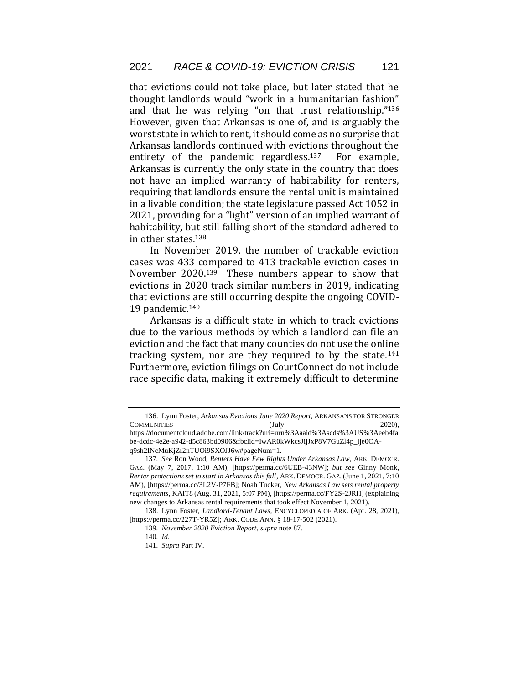that evictions could not take place, but later stated that he thought landlords would "work in a humanitarian fashion" and that he was relying "on that trust relationship."<sup>136</sup> However, given that Arkansas is one of, and is arguably the worst state in which to rent, it should come as no surprise that Arkansas landlords continued with evictions throughout the entirety of the pandemic regardless.<sup>137</sup> For example, Arkansas is currently the only state in the country that does not have an implied warranty of habitability for renters, requiring that landlords ensure the rental unit is maintained in a livable condition; the state legislature passed Act 1052 in 2021, providing for a "light" version of an implied warrant of habitability, but still falling short of the standard adhered to in other states.<sup>138</sup>

In November 2019, the number of trackable eviction cases was 433 compared to 413 trackable eviction cases in November 2020.139 These numbers appear to show that evictions in 2020 track similar numbers in 2019, indicating that evictions are still occurring despite the ongoing COVID-19 pandemic.<sup>140</sup>

Arkansas is a difficult state in which to track evictions due to the various methods by which a landlord can file an eviction and the fact that many counties do not use the online tracking system, nor are they required to by the state.<sup>141</sup> Furthermore, eviction filings on CourtConnect do not include race specific data, making it extremely difficult to determine

<sup>136.</sup> Lynn Foster, *Arkansas Evictions June 2020 Report,* ARKANSANS FOR STRONGER COMMUNITIES (July 2020),

https://documentcloud.adobe.com/link/track?uri=urn%3Aaaid%3Ascds%3AUS%3Aeeb4fa be-dcdc-4e2e-a942-d5c863bd0906&fbclid=IwAR0kWkcsJijJxP8V7GuZl4p\_ije0OAq9sh2INcMuKjZr2nTUOi9SXOJJ6w#pageNum=1.

<sup>137</sup>*. See* Ron Wood, *Renters Have Few Rights Under Arkansas Law*, ARK. DEMOCR. GAZ. (May 7, 2017, 1:10 AM), [https://perma.cc/6UEB-43NW]; *but see* Ginny Monk, *Renter protections set to start in Arkansas this fall*, ARK. DEMOCR. GAZ. (June 1, 2021, 7:10 AM), [https://perma.cc/3L2V-P7FB]; Noah Tucker, *New Arkansas Law sets rental property requirements*, KAIT8 (Aug. 31, 2021, 5:07 PM), [https://perma.cc/FY2S-2JRH] (explaining new changes to Arkansas rental requirements that took effect November 1, 2021).

<sup>138.</sup> Lynn Foster, *Landlord-Tenant Laws*, ENCYCLOPEDIA OF ARK. (Apr. 28, 2021), [https://perma.cc/227T-YR5Z]; ARK. CODE ANN. § 18-17-502 (2021).

<sup>139</sup>*. November 2020 Eviction Report*, *supra* note 87.

<sup>140</sup>*. Id.* 

<sup>141</sup>*. Supra* Part IV.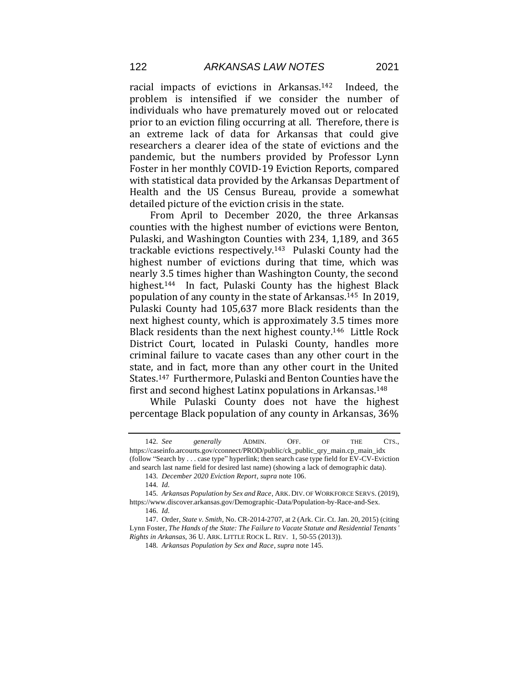racial impacts of evictions in Arkansas.142 Indeed, the problem is intensified if we consider the number of individuals who have prematurely moved out or relocated prior to an eviction filing occurring at all. Therefore, there is an extreme lack of data for Arkansas that could give researchers a clearer idea of the state of evictions and the pandemic, but the numbers provided by Professor Lynn Foster in her monthly COVID-19 Eviction Reports, compared with statistical data provided by the Arkansas Department of Health and the US Census Bureau, provide a somewhat detailed picture of the eviction crisis in the state.

From April to December 2020, the three Arkansas counties with the highest number of evictions were Benton, Pulaski, and Washington Counties with 234, 1,189, and 365 trackable evictions respectively.143 Pulaski County had the highest number of evictions during that time, which was nearly 3.5 times higher than Washington County, the second highest.144 In fact, Pulaski County has the highest Black population of any county in the state of Arkansas.145 In 2019, Pulaski County had 105,637 more Black residents than the next highest county, which is approximately 3.5 times more Black residents than the next highest county.<sup>146</sup> Little Rock District Court, located in Pulaski County, handles more criminal failure to vacate cases than any other court in the state, and in fact, more than any other court in the United States.147 Furthermore, Pulaski and Benton Counties have the first and second highest Latinx populations in Arkansas.<sup>148</sup>

While Pulaski County does not have the highest percentage Black population of any county in Arkansas, 36%

<sup>142</sup>*. See generally* ADMIN. OFF. OF THE CTS., https://caseinfo.arcourts.gov/cconnect/PROD/public/ck\_public\_qry\_main.cp\_main\_idx (follow "Search by . . . case type" hyperlink; then search case type field for EV-CV-Eviction and search last name field for desired last name) (showing a lack of demographic data).

<sup>143</sup>*. December 2020 Eviction Report*, *supra* note 106.

<sup>144</sup>*. Id.* 

<sup>145</sup>*. Arkansas Population by Sex and Race*, ARK. DIV. OF WORKFORCE SERVS. (2019), https://www.discover.arkansas.gov/Demographic-Data/Population-by-Race-and-Sex.

<sup>146</sup>*. Id.* 

<sup>147.</sup> Order, *State v. Smith,* No. CR-2014-2707, at 2 (Ark. Cir. Ct. Jan. 20, 2015) (citing Lynn Foster, *The Hands of the State: The Failure to Vacate Statute and Residential Tenants' Rights in Arkansas*, 36 U. ARK. LITTLE ROCK L. REV. 1, 50-55 (2013)).

<sup>148</sup>*. Arkansas Population by Sex and Race*, *supra* note 145.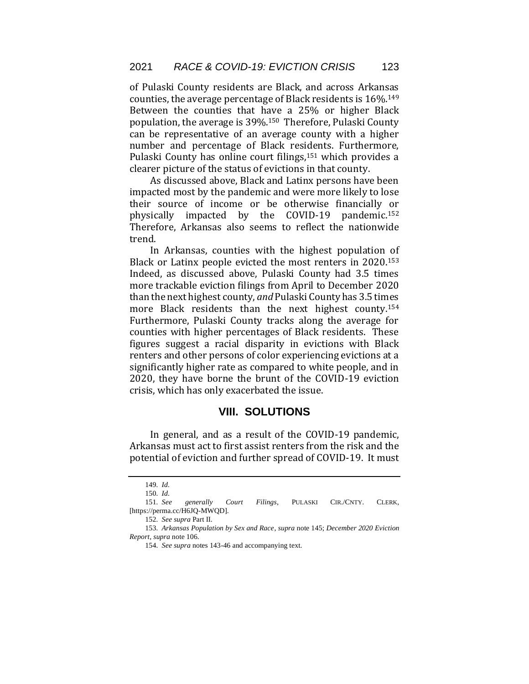of Pulaski County residents are Black, and across Arkansas counties, the average percentage of Black residents is 16%.<sup>149</sup> Between the counties that have a 25% or higher Black population, the average is 39%.150 Therefore, Pulaski County can be representative of an average county with a higher number and percentage of Black residents. Furthermore, Pulaski County has online court filings,<sup>151</sup> which provides a clearer picture of the status of evictions in that county.

As discussed above, Black and Latinx persons have been impacted most by the pandemic and were more likely to lose their source of income or be otherwise financially or physically impacted by the COVID-19 pandemic.<sup>152</sup> Therefore, Arkansas also seems to reflect the nationwide trend.

In Arkansas, counties with the highest population of Black or Latinx people evicted the most renters in 2020.<sup>153</sup> Indeed, as discussed above, Pulaski County had 3.5 times more trackable eviction filings from April to December 2020 than the next highest county, *and* Pulaski County has 3.5 times more Black residents than the next highest county.<sup>154</sup> Furthermore, Pulaski County tracks along the average for counties with higher percentages of Black residents. These figures suggest a racial disparity in evictions with Black renters and other persons of color experiencing evictions at a significantly higher rate as compared to white people, and in 2020, they have borne the brunt of the COVID-19 eviction crisis, which has only exacerbated the issue.

## **VIII. SOLUTIONS**

In general, and as a result of the COVID-19 pandemic, Arkansas must act to first assist renters from the risk and the potential of eviction and further spread of COVID-19. It must

<sup>149</sup>*. Id.* 

<sup>150</sup>*. Id.* 

<sup>151</sup>*. See generally Court Filings*, PULASKI CIR./CNTY. CLERK, [https://perma.cc/H6JQ-MWQD].

<sup>152</sup>*. See supra* Part II.

<sup>153</sup>*. Arkansas Population by Sex and Race*, *supra* note 145; *December 2020 Eviction Report*, *supra* note 106.

<sup>154</sup>*. See supra* notes 143-46 and accompanying text.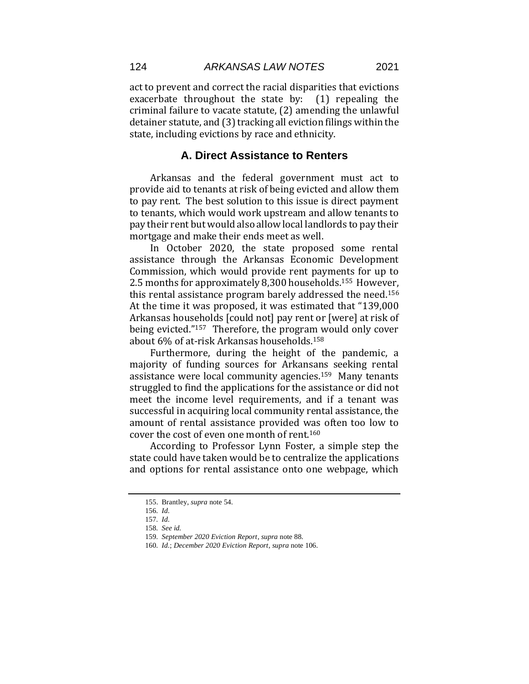124 *ARKANSAS LAW NOTES* 2021

act to prevent and correct the racial disparities that evictions exacerbate throughout the state by: (1) repealing the criminal failure to vacate statute, (2) amending the unlawful detainer statute, and (3) tracking all eviction filings within the state, including evictions by race and ethnicity.

#### **A. Direct Assistance to Renters**

Arkansas and the federal government must act to provide aid to tenants at risk of being evicted and allow them to pay rent. The best solution to this issue is direct payment to tenants, which would work upstream and allow tenants to pay their rent but would also allow local landlords to pay their mortgage and make their ends meet as well.

In October 2020, the state proposed some rental assistance through the Arkansas Economic Development Commission, which would provide rent payments for up to 2.5 months for approximately 8,300 households.155 However, this rental assistance program barely addressed the need.<sup>156</sup> At the time it was proposed, it was estimated that "139,000 Arkansas households [could not] pay rent or [were] at risk of being evicted."157 Therefore, the program would only cover about 6% of at-risk Arkansas households.<sup>158</sup>

Furthermore, during the height of the pandemic, a majority of funding sources for Arkansans seeking rental assistance were local community agencies.159 Many tenants struggled to find the applications for the assistance or did not meet the income level requirements, and if a tenant was successful in acquiring local community rental assistance, the amount of rental assistance provided was often too low to cover the cost of even one month of rent.<sup>160</sup>

According to Professor Lynn Foster, a simple step the state could have taken would be to centralize the applications and options for rental assistance onto one webpage, which

<sup>155.</sup> Brantley, *supra* note 54.

<sup>156</sup>*. Id.* 

<sup>157</sup>*. Id.* 

<sup>158</sup>*. See id.* 

<sup>159</sup>*. September 2020 Eviction Report*, *supra* note 88.

<sup>160</sup>*. Id.*; *December 2020 Eviction Report*, *supra* note 106.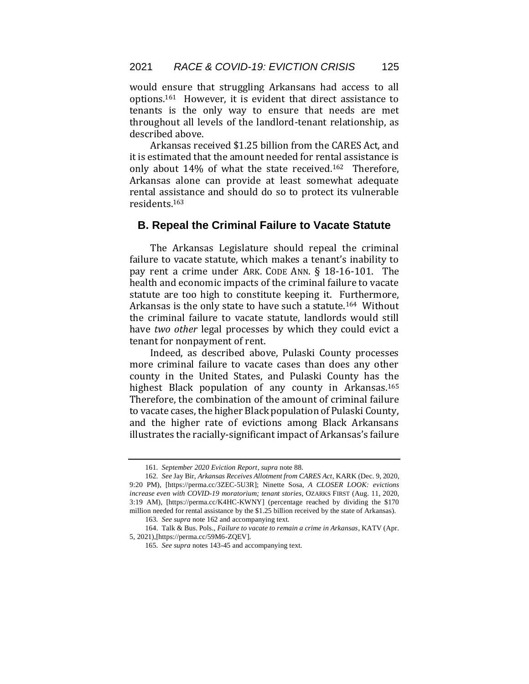would ensure that struggling Arkansans had access to all options.161 However, it is evident that direct assistance to tenants is the only way to ensure that needs are met throughout all levels of the landlord-tenant relationship, as described above.

Arkansas received \$1.25 billion from the CARES Act, and it is estimated that the amount needed for rental assistance is only about 14% of what the state received.162 Therefore, Arkansas alone can provide at least somewhat adequate rental assistance and should do so to protect its vulnerable residents.<sup>163</sup>

#### **B. Repeal the Criminal Failure to Vacate Statute**

The Arkansas Legislature should repeal the criminal failure to vacate statute, which makes a tenant's inability to pay rent a crime under ARK. CODE ANN. § 18-16-101. The health and economic impacts of the criminal failure to vacate statute are too high to constitute keeping it. Furthermore, Arkansas is the only state to have such a statute.164 Without the criminal failure to vacate statute, landlords would still have *two other* legal processes by which they could evict a tenant for nonpayment of rent.

Indeed, as described above, Pulaski County processes more criminal failure to vacate cases than does any other county in the United States, and Pulaski County has the highest Black population of any county in Arkansas.<sup>165</sup> Therefore, the combination of the amount of criminal failure to vacate cases, the higher Black population of Pulaski County, and the higher rate of evictions among Black Arkansans illustrates the racially-significant impact of Arkansas's failure

<sup>161</sup>*. September 2020 Eviction Report*, *supra* note 88.

<sup>162</sup>*. See* Jay Bir, *Arkansas Receives Allotment from CARES Act*, KARK (Dec. 9, 2020, 9:20 PM), [https://perma.cc/3ZEC-5U3R]; Ninette Sosa, *A CLOSER LOOK: evictions increase even with COVID-19 moratorium; tenant stories*, OZARKS FIRST (Aug. 11, 2020, 3:19 AM), [https://perma.cc/K4HC-KWNY] (percentage reached by dividing the \$170 million needed for rental assistance by the \$1.25 billion received by the state of Arkansas).

<sup>163</sup>*. See supra* note 162 and accompanying text.

<sup>164.</sup> Talk & Bus. Pols., *Failure to vacate to remain a crime in Arkansas*, KATV (Apr. 5, 2021),[https://perma.cc/59M6-ZQEV].

<sup>165</sup>*. See supra* notes 143-45 and accompanying text.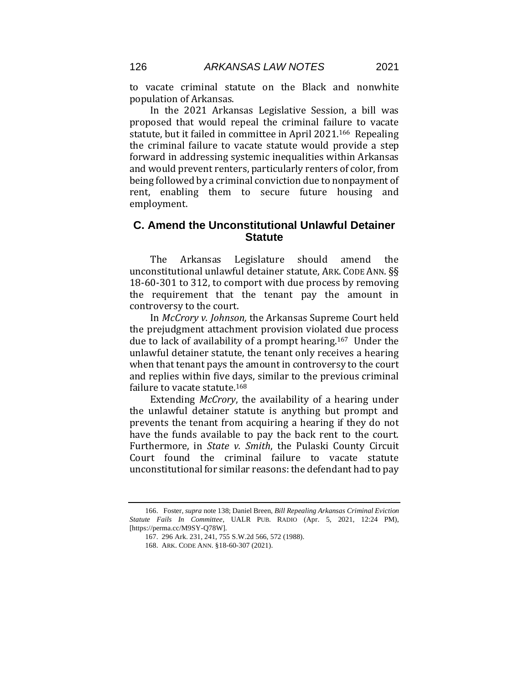to vacate criminal statute on the Black and nonwhite population of Arkansas.

In the 2021 Arkansas Legislative Session, a bill was proposed that would repeal the criminal failure to vacate statute, but it failed in committee in April 2021.166 Repealing the criminal failure to vacate statute would provide a step forward in addressing systemic inequalities within Arkansas and would prevent renters, particularly renters of color, from being followed by a criminal conviction due to nonpayment of rent, enabling them to secure future housing and employment.

## **C. Amend the Unconstitutional Unlawful Detainer Statute**

The Arkansas Legislature should amend the unconstitutional unlawful detainer statute, ARK. CODE ANN. §§ 18-60-301 to 312, to comport with due process by removing the requirement that the tenant pay the amount in controversy to the court.

In *McCrory v. Johnson,* the Arkansas Supreme Court held the prejudgment attachment provision violated due process due to lack of availability of a prompt hearing.167 Under the unlawful detainer statute, the tenant only receives a hearing when that tenant pays the amount in controversy to the court and replies within five days, similar to the previous criminal failure to vacate statute.<sup>168</sup>

Extending *McCrory*, the availability of a hearing under the unlawful detainer statute is anything but prompt and prevents the tenant from acquiring a hearing if they do not have the funds available to pay the back rent to the court. Furthermore, in *State v. Smith*, the Pulaski County Circuit Court found the criminal failure to vacate statute unconstitutional for similar reasons: the defendant had to pay

<sup>166.</sup> Foster, *supra* note 138; Daniel Breen, *Bill Repealing Arkansas Criminal Eviction Statute Fails In Committee*, UALR PUB. RADIO (Apr. 5, 2021, 12:24 PM), [https://perma.cc/M9SY-Q78W].

<sup>167.</sup> 296 Ark. 231, 241, 755 S.W.2d 566, 572 (1988).

<sup>168.</sup> ARK. CODE ANN. §18-60-307 (2021).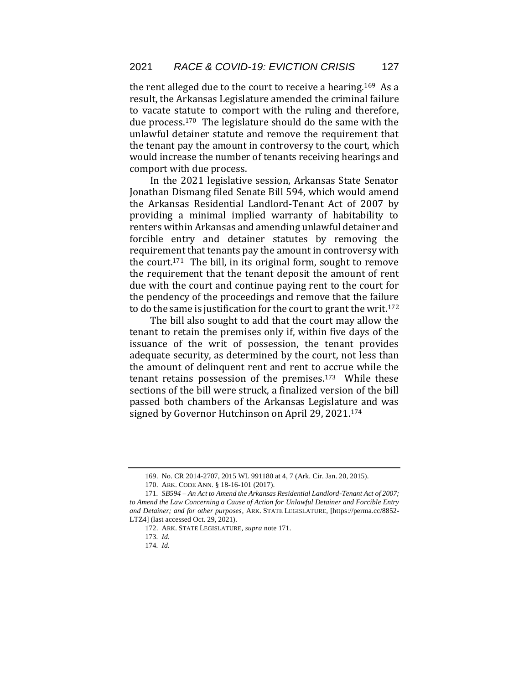the rent alleged due to the court to receive a hearing.169 As a result, the Arkansas Legislature amended the criminal failure to vacate statute to comport with the ruling and therefore, due process.170 The legislature should do the same with the unlawful detainer statute and remove the requirement that the tenant pay the amount in controversy to the court, which would increase the number of tenants receiving hearings and comport with due process.

In the 2021 legislative session, Arkansas State Senator Jonathan Dismang filed Senate Bill 594, which would amend the Arkansas Residential Landlord-Tenant Act of 2007 by providing a minimal implied warranty of habitability to renters within Arkansas and amending unlawful detainer and forcible entry and detainer statutes by removing the requirement that tenants pay the amount in controversy with the court.171 The bill, in its original form, sought to remove the requirement that the tenant deposit the amount of rent due with the court and continue paying rent to the court for the pendency of the proceedings and remove that the failure to do the same is justification for the court to grant the writ.<sup>172</sup>

The bill also sought to add that the court may allow the tenant to retain the premises only if, within five days of the issuance of the writ of possession, the tenant provides adequate security, as determined by the court, not less than the amount of delinquent rent and rent to accrue while the tenant retains possession of the premises.173 While these sections of the bill were struck, a finalized version of the bill passed both chambers of the Arkansas Legislature and was signed by Governor Hutchinson on April 29, 2021.<sup>174</sup>

<sup>169.</sup> No. CR 2014-2707, 2015 WL 991180 at 4, 7 (Ark. Cir. Jan. 20, 2015).

<sup>170.</sup> ARK. CODE ANN. § 18-16-101 (2017).

<sup>171</sup>*. SB594 – An Act to Amend the Arkansas Residential Landlord-Tenant Act of 2007; to Amend the Law Concerning a Cause of Action for Unlawful Detainer and Forcible Entry and Detainer; and for other purposes*, ARK. STATE LEGISLATURE, [https://perma.cc/8852- LTZ4] (last accessed Oct. 29, 2021).

<sup>172.</sup> ARK. STATE LEGISLATURE, *supra* note 171.

<sup>173</sup>*. Id.* 

<sup>174</sup>*. Id.*